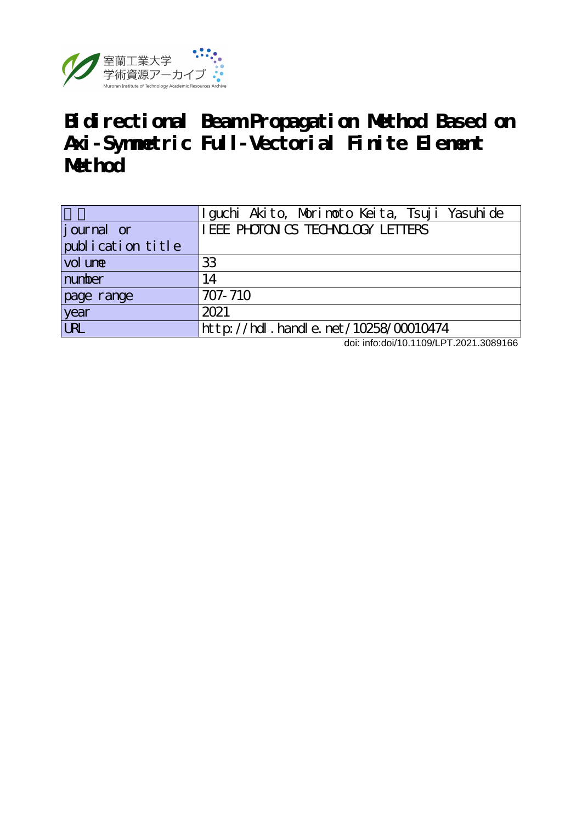

## **Bidirectional Beam Propagation Method Based on Axi-Symmetric Full-Vectorial Finite Element Method**

|                   | Iguchi Akito, Morimoto Keita, Tsuji Yasuhide |
|-------------------|----------------------------------------------|
| journal or        | I EEE PHOTON CS TECHNOLOGY LETTERS           |
| publication title |                                              |
| vol une           | 33                                           |
| number            | 14                                           |
| page range        | 707-710                                      |
| year              | 2021                                         |
| <b>URL</b>        | $http$ ://hdl. handle. net/10258/00010474    |

doi: info:doi/10.1109/LPT.2021.3089166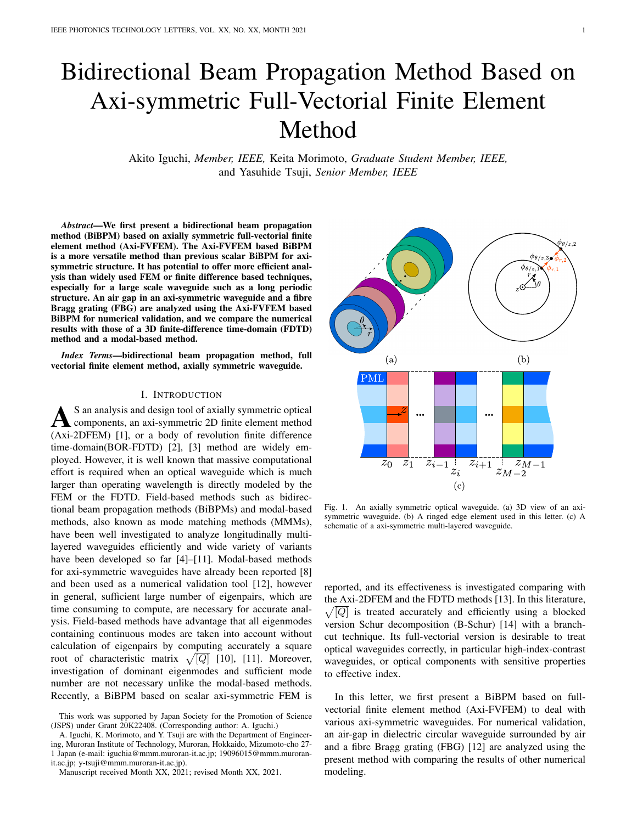# Bidirectional Beam Propagation Method Based on Axi-symmetric Full-Vectorial Finite Element Method

Akito Iguchi, *Member, IEEE,* Keita Morimoto, *Graduate Student Member, IEEE,* and Yasuhide Tsuji, *Senior Member, IEEE*

*Abstract*—We first present a bidirectional beam propagation method (BiBPM) based on axially symmetric full-vectorial finite element method (Axi-FVFEM). The Axi-FVFEM based BiBPM is a more versatile method than previous scalar BiBPM for axisymmetric structure. It has potential to offer more efficient analysis than widely used FEM or finite difference based techniques, especially for a large scale waveguide such as a long periodic structure. An air gap in an axi-symmetric waveguide and a fibre Bragg grating (FBG) are analyzed using the Axi-FVFEM based BiBPM for numerical validation, and we compare the numerical results with those of a 3D finite-difference time-domain (FDTD) method and a modal-based method.

*Index Terms*—bidirectional beam propagation method, full vectorial finite element method, axially symmetric waveguide.

#### I. INTRODUCTION

A S an analysis and design tool of axially symmetric optical<br>components, an axi-symmetric 2D finite element method<br>(Axi-2DFEM) [1], or a body of revolution finite difference S an analysis and design tool of axially symmetric optical components, an axi-symmetric 2D finite element method time-domain(BOR-FDTD) [2], [3] method are widely employed. However, it is well known that massive computational effort is required when an optical waveguide which is much larger than operating wavelength is directly modeled by the FEM or the FDTD. Field-based methods such as bidirectional beam propagation methods (BiBPMs) and modal-based methods, also known as mode matching methods (MMMs), have been well investigated to analyze longitudinally multilayered waveguides efficiently and wide variety of variants have been developed so far [4]–[11]. Modal-based methods for axi-symmetric waveguides have already been reported [8] and been used as a numerical validation tool [12], however in general, sufficient large number of eigenpairs, which are time consuming to compute, are necessary for accurate analysis. Field-based methods have advantage that all eigenmodes containing continuous modes are taken into account without calculation of eigenpairs by computing accurately a square root of characteristic matrix  $\sqrt{[Q]}$  [10], [11]. Moreover, investigation of dominant eigenmodes and sufficient mode number are not necessary unlike the modal-based methods. Recently, a BiBPM based on scalar axi-symmetric FEM is

A. Iguchi, K. Morimoto, and Y. Tsuji are with the Department of Engineering, Muroran Institute of Technology, Muroran, Hokkaido, Mizumoto-cho 27- 1 Japan (e-mail: iguchia@mmm.muroran-it.ac.jp; 19096015@mmm.muroranit.ac.jp; y-tsuji@mmm.muroran-it.ac.jp).



Fig. 1. An axially symmetric optical waveguide. (a) 3D view of an axisymmetric waveguide. (b) A ringed edge element used in this letter. (c) A schematic of a axi-symmetric multi-layered waveguide.

reported, and its effectiveness is investigated comparing with the Axi-2DFEM and the FDTD methods [13]. In this literature,  $\sqrt{[Q]}$  is treated accurately and efficiently using a blocked version Schur decomposition (B-Schur) [14] with a branchcut technique. Its full-vectorial version is desirable to treat optical waveguides correctly, in particular high-index-contrast waveguides, or optical components with sensitive properties to effective index.

In this letter, we first present a BiBPM based on fullvectorial finite element method (Axi-FVFEM) to deal with various axi-symmetric waveguides. For numerical validation, an air-gap in dielectric circular waveguide surrounded by air and a fibre Bragg grating (FBG) [12] are analyzed using the present method with comparing the results of other numerical modeling.

This work was supported by Japan Society for the Promotion of Science (JSPS) under Grant 20K22408. (Corresponding author: A. Iguchi.)

Manuscript received Month XX, 2021; revised Month XX, 2021.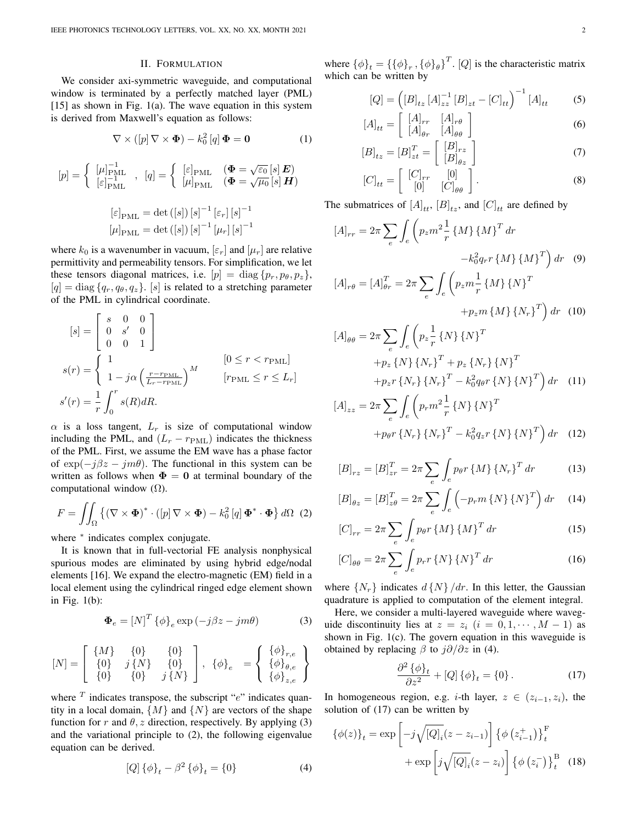### II. FORMULATION

We consider axi-symmetric waveguide, and computational window is terminated by a perfectly matched layer (PML)  $[15]$  as shown in Fig. 1(a). The wave equation in this system is derived from Maxwell's equation as follows:

$$
\nabla \times ([p] \nabla \times \mathbf{\Phi}) - k_0^2 [q] \mathbf{\Phi} = \mathbf{0}
$$
 (1)

$$
[p] = \begin{cases} [\mu]_{\text{PML}}^{-1} & [q] = \begin{cases} [\varepsilon]_{\text{PML}} & (\Phi = \sqrt{\varepsilon_0} \, [s] \, \mathbf{E}) \\ [\mu]_{\text{PML}} & (\Phi = \sqrt{\mu_0} \, [s] \, \mathbf{H}) \end{cases} \\ [\varepsilon]_{\text{PML}} = \det\left( [s] \right) [s]^{-1} [\varepsilon_r] [s]^{-1} \\ [\mu]_{\text{PML}} = \det\left( [s] \right) [s]^{-1} [\mu_r] [s]^{-1} \end{cases}
$$

where  $k_0$  is a wavenumber in vacuum,  $[\varepsilon_r]$  and  $[\mu_r]$  are relative permittivity and permeability tensors. For simplification, we let these tensors diagonal matrices, i.e.  $[p] = \text{diag} \{p_r, p_\theta, p_z\},\$  $[q] = \text{diag} \{q_r, q_\theta, q_z\}$ . [*s*] is related to a stretching parameter of the PML in cylindrical coordinate.

$$
[s] = \begin{bmatrix} s & 0 & 0 \\ 0 & s' & 0 \\ 0 & 0 & 1 \end{bmatrix}
$$
  

$$
s(r) = \begin{cases} 1 & [0 \le r < r_{\text{PML}}] \\ 1 - j\alpha \left(\frac{r - r_{\text{PML}}}{L_r - r_{\text{PML}}}\right)^M & [r_{\text{PML}} \le r \le L_r] \\ s'(r) = \frac{1}{r} \int_0^r s(R) dR. \end{cases}
$$

 $\alpha$  is a loss tangent,  $L_r$  is size of computational window including the PML, and  $(L_r - r_{\text{PML}})$  indicates the thickness of the PML. First, we assume the EM wave has a phase factor of  $exp(-i\beta z - im\theta)$ . The functional in this system can be written as follows when  $\Phi = 0$  at terminal boundary of the computational window  $(Ω)$ .

$$
F = \iint_{\Omega} \left\{ (\nabla \times \mathbf{\Phi})^* \cdot ([p] \nabla \times \mathbf{\Phi}) - k_0^2 [q] \mathbf{\Phi}^* \cdot \mathbf{\Phi} \right\} d\Omega \tag{2}
$$

where *<sup>∗</sup>* indicates complex conjugate.

It is known that in full-vectorial FE analysis nonphysical spurious modes are eliminated by using hybrid edge/nodal elements [16]. We expand the electro-magnetic (EM) field in a local element using the cylindrical ringed edge element shown in Fig. 1(b):

$$
\mathbf{\Phi}_e = \left[ N \right]^T \{ \phi \}_e \exp \left( -j\beta z - jm\theta \right) \tag{3}
$$

$$
[N]=\left[\begin{array}{cc} \{M\} & \{0\} & \{0\} \\ \{0\} & j\,\{N\} & \{0\} \\ \{0\} & \{0\} & j\,\{N\} \end{array}\right],\ \{\phi\}_e\ =\left\{\begin{array}{c} \{\phi\}_{r,e} \\ \{\phi\}_{\theta,e} \\ \{\phi\}_{z,e} \end{array}\right\}
$$

where <sup>T</sup> indicates transpose, the subscript "*e*" indicates quantity in a local domain,  $\{M\}$  and  $\{N\}$  are vectors of the shape function for *r* and  $\theta$ , *z* direction, respectively. By applying (3) and the variational principle to (2), the following eigenvalue equation can be derived.

$$
[Q] \{\phi\}_t - \beta^2 \{\phi\}_t = \{0\} \tag{4}
$$

where  ${\{\phi\}}_t = {\{\{\phi\}}_r, {\{\phi\}}_\theta\}^T$ . [*Q*] is the characteristic matrix which can be written by

$$
[Q] = ([B]_{tz} [A]_{zz}^{-1} [B]_{zt} - [C]_{tt})^{-1} [A]_{tt}
$$
 (5)

$$
A]_{tt} = \begin{bmatrix} [A]_{rr} & [A]_{r\theta} \\ [A]_{\theta r} & [A]_{\theta \theta} \end{bmatrix}
$$
 (6)

$$
[B]_{tz} = [B]_{zt}^T = \begin{bmatrix} [B]_{rz} \\ [B]_{\theta z} \end{bmatrix}
$$
 (7)

$$
[C]_{tt} = \left[ \begin{array}{cc} [C]_{rr} & [0] \\ [0] & [C]_{\theta\theta} \end{array} \right]. \tag{8}
$$

The submatrices of  $[A]_{tt}$ ,  $[B]_{tz}$ , and  $[C]_{tt}$  are defined by

[*A*]

$$
[A]_{rr} = 2\pi \sum_{e} \int_{e} \left( p_{z} m^{2} \frac{1}{r} \{M\} \{M\}^{T} dr -k_{0}^{2} q_{r} r \{M\} \{M\}^{T} \right) dr \quad (9)
$$

$$
[A]_{r\theta} = [A]_{\theta r}^{T} = 2\pi \sum_{e} \int_{e} \left( p_{z} m \frac{1}{r} \{M\} \{N\}^{T} + p_{z} m \{M\} \{N_{r}\}^{T} \right) dr \quad (10)
$$

$$
[A]_{\theta\theta} = 2\pi \sum_{e} \int_{e} \left( p_z \frac{1}{r} \{N\} \{N\}^{T} + p_z \{N_r\} \{N_r\}^{T} + p_z \{N_r\} \{N_r\}^{T} + p_z r \{N_r\} \{N_r\}^{T} - k_0^2 q_{\theta} r \{N\} \{N\}^{T} \right) dr \quad (11)
$$

$$
[A]_{zz} = 2\pi \sum_{e} \int_{e} \left( p_r m^2 \frac{1}{r} \{N\} \{N\}^T + p_{\theta} r \{N_r\} \{N_r\}^T - k_0^2 q_z r \{N\} \{N\}^T \right) dr \quad (12)
$$

$$
[B]_{rz} = [B]_{zr}^T = 2\pi \sum_{e} \int_{e} p_{\theta} r \{M\} \{N_r\}^T dr \qquad (13)
$$

$$
[B]_{\theta z} = [B]_{z\theta}^T = 2\pi \sum_{e} \int_{e} \left( -p_r m \{ N \} \{ N \}^T \right) dr \quad (14)
$$

$$
[C]_{rr} = 2\pi \sum_{e} \int_{e} p_{\theta} r \{M\} \{M\}^{T} dr \qquad (15)
$$

$$
[C]_{\theta\theta} = 2\pi \sum_{e} \int_{e} p_r r \{N\} \{N\}^T dr \qquad (16)
$$

where  $\{N_r\}$  indicates  $d\{N\}$  */dr*. In this letter, the Gaussian quadrature is applied to computation of the element integral.

Here, we consider a multi-layered waveguide where waveguide discontinuity lies at  $z = z_i$  ( $i = 0, 1, \dots, M - 1$ ) as shown in Fig. 1(c). The govern equation in this waveguide is obtained by replacing *β* to *j∂/∂z* in (4).

$$
\frac{\partial^2 \{\phi\}_t}{\partial z^2} + [Q] \{\phi\}_t = \{0\}.
$$
 (17)

In homogeneous region, e.g. *i*-th layer, *z ∈* (*z<sup>i</sup>−*<sup>1</sup>*, zi*), the solution of (17) can be written by

$$
\{\phi(z)\}_t = \exp\left[-j\sqrt{[Q]_i}(z-z_{i-1})\right] \left\{\phi\left(z_{i-1}^+\right)\right\}_t^{\mathrm{F}} + \exp\left[j\sqrt{[Q]_i}(z-z_i)\right] \left\{\phi\left(z_i^-\right)\right\}_t^{\mathrm{B}} \tag{18}
$$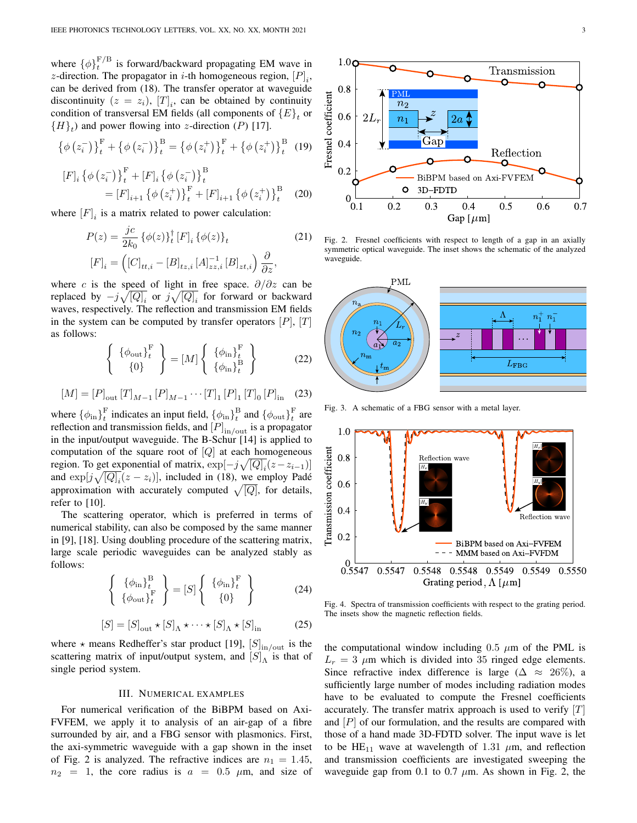where  $\{\phi\}_t^{\text{F/B}}$  is forward/backward propagating EM wave in *z*-direction. The propagator in *i*-th homogeneous region,  $[P]_i$ , can be derived from (18). The transfer operator at waveguide discontinuity  $(z = z_i)$ ,  $[T]_i$ , can be obtained by continuity condition of transversal EM fields (all components of  ${E}_t$  or  ${H}_t$ ) and power flowing into *z*-direction (*P*) [17].

$$
\left\{\phi\left(z_{i}^{-}\right)\right\}_{t}^{\mathrm{F}} + \left\{\phi\left(z_{i}^{-}\right)\right\}_{t}^{\mathrm{B}} = \left\{\phi\left(z_{i}^{+}\right)\right\}_{t}^{\mathrm{F}} + \left\{\phi\left(z_{i}^{+}\right)\right\}_{t}^{\mathrm{B}} \tag{19}
$$

$$
[F]_i \{\phi(z_i^-)\}_t^{\mathrm{F}} + [F]_i \{\phi(z_i^-)\}_t^{\mathrm{B}} = [F]_{i+1} \{\phi(z_i^+)\}_t^{\mathrm{F}} + [F]_{i+1} \{\phi(z_i^+)\}_t^{\mathrm{B}} \quad (20)
$$

where  $[F]_i$  is a matrix related to power calculation:

$$
P(z) = \frac{jc}{2k_0} \{ \phi(z) \}_{t}^{\dagger} [F]_i \{ \phi(z) \}_{t}
$$
\n
$$
[F]_i = \left( [C]_{tt,i} - [B]_{tz,i} [A]_{zz,i}^{-1} [B]_{zt,i} \right) \frac{\partial}{\partial z},
$$
\n(21)

where *c* is the speed of light in free space. *∂/∂z* can be replaced by  $-j\sqrt{[Q]_i}$  or  $j\sqrt{[Q]_i}$  for forward or backward waves, respectively. The reflection and transmission EM fields in the system can be computed by transfer operators [*P*], [*T*] as follows:

$$
\left\{\begin{array}{c} {\phi_{\text{out}}}_{t} \end{array}\right\} = [M] \left\{\begin{array}{c} {\phi_{\text{in}}}_{t} \end{array}\right\} \qquad (22)
$$

$$
[M] = [P]_{\text{out}} [T]_{M-1} [P]_{M-1} \cdots [T]_1 [P]_1 [T]_0 [P]_{\text{in}} \quad (23)
$$

where  $\{\phi_{\text{in}}\}_{t}^{\text{F}}$  indicates an input field,  $\{\phi_{\text{in}}\}_{t}^{\text{B}}$  and  $\{\phi_{\text{out}}\}_{t}^{\text{F}}$  are reflection and transmission fields, and [*P*] in*/*out is a propagator in the input/output waveguide. The B-Schur [14] is applied to computation of the square root of [*Q*] at each homogeneous region. To get exponential of matrix,  $\exp[-j\sqrt{[Q]_i}(z-z_{i-1})]$ and  $\exp[j\sqrt{[Q]_i}(z-z_i)]$ , included in (18), we employ Padé approximation with accurately computed  $\sqrt{[Q]}$ , for details, refer to [10].

The scattering operator, which is preferred in terms of numerical stability, can also be composed by the same manner in [9], [18]. Using doubling procedure of the scattering matrix, large scale periodic waveguides can be analyzed stably as follows:

$$
\left\{\n\begin{array}{c}\n\{\phi_{\text{in}}\}_{t}^{\text{B}} \\
\{\phi_{\text{out}}\}_{t}^{\text{F}}\n\end{array}\n\right\} = [S] \left\{\n\begin{array}{c}\n\{\phi_{\text{in}}\}_{t}^{\text{F}} \\
\{0\}\n\end{array}\n\right\}
$$
\n(24)

$$
[S] = [S]_{\text{out}} \star [S]_{\Lambda} \star \cdots \star [S]_{\Lambda} \star [S]_{\text{in}}
$$
 (25)

where  $\star$  means Redheffer's star product [19],  $[S]_{\text{in/out}}$  is the scattering matrix of input/output system, and  $[S]_A$  is that of single period system.

### III. NUMERICAL EXAMPLES

For numerical verification of the BiBPM based on Axi-FVFEM, we apply it to analysis of an air-gap of a fibre surrounded by air, and a FBG sensor with plasmonics. First, the axi-symmetric waveguide with a gap shown in the inset of Fig. 2 is analyzed. The refractive indices are  $n_1 = 1.45$ ,  $n_2 = 1$ , the core radius is  $a = 0.5$   $\mu$ m, and size of



Fig. 2. Fresnel coefficients with respect to length of a gap in an axially symmetric optical waveguide. The inset shows the schematic of the analyzed waveguide.



Fig. 3. A schematic of a FBG sensor with a metal layer.



Fig. 4. Spectra of transmission coefficients with respect to the grating period. The insets show the magnetic reflection fields.

the computational window including  $0.5 \mu m$  of the PML is  $L_r = 3 \mu m$  which is divided into 35 ringed edge elements. Since refractive index difference is large ( $\Delta \approx 26\%$ ), a sufficiently large number of modes including radiation modes have to be evaluated to compute the Fresnel coefficients accurately. The transfer matrix approach is used to verify [*T*] and [*P*] of our formulation, and the results are compared with those of a hand made 3D-FDTD solver. The input wave is let to be  $HE_{11}$  wave at wavelength of 1.31  $\mu$ m, and reflection and transmission coefficients are investigated sweeping the waveguide gap from 0.1 to 0.7 *µ*m. As shown in Fig. 2, the